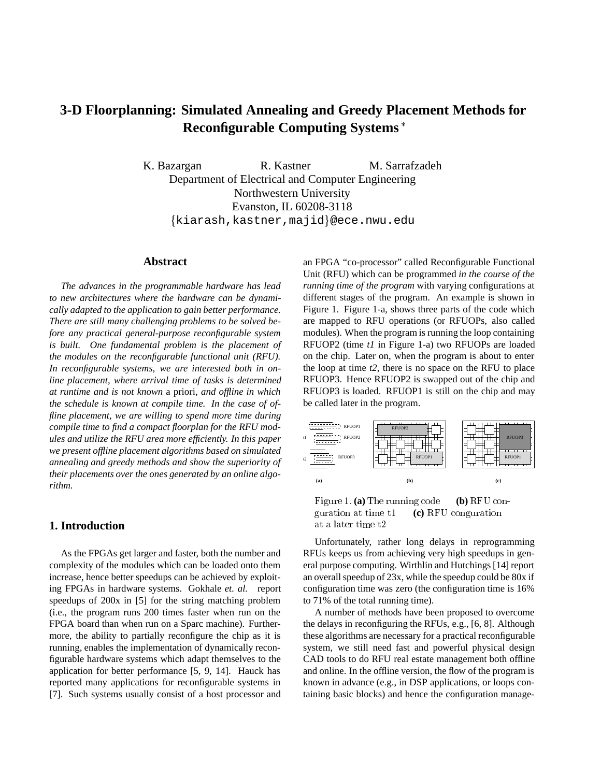# **3-D Floorplanning: Simulated Annealing and Greedy Placement Methods for Reconfigurable Computing Systems**

K. Bazargan R. Kastner M. Sarrafzadeh Department of Electrical and Computer Engineering Northwestern University Evanston, IL 60208-3118 {kiarash, kastner, majid}@ece.nwu.edu

#### **Abstract**

*The advances in the programmable hardware has lead to new architectures where the hardware can be dynamically adapted to the application to gain better performance. There are still many challenging problems to be solved before any practical general-purpose reconfigurable system is built. One fundamental problem is the placement of the modules on the reconfigurable functional unit (RFU). In reconfigurable systems, we are interested both in online placement, where arrival time of tasks is determined at runtime and is not known* a priori*, and offline in which the schedule is known at compile time. In the case of offline placement, we are willing to spend more time during compile time to find a compact floorplan for the RFU modules and utilize the RFU area more efficiently. In this paper we present offline placement algorithms based on simulated annealing and greedy methods and show the superiority of their placements over the ones generated by an online algorithm.*

#### **1. Introduction**

As the FPGAs get larger and faster, both the number and complexity of the modules which can be loaded onto them increase, hence better speedups can be achieved by exploiting FPGAs in hardware systems. Gokhale *et. al.* report speedups of 200x in [5] for the string matching problem (i.e., the program runs 200 times faster when run on the FPGA board than when run on a Sparc machine). Furthermore, the ability to partially reconfigure the chip as it is running, enables the implementation of dynamically reconfigurable hardware systems which adapt themselves to the application for better performance [5, 9, 14]. Hauck has reported many applications for reconfigurable systems in [7]. Such systems usually consist of a host processor and an FPGA "co-processor" called Reconfigurable Functional Unit (RFU) which can be programmed *in the course of the running time of the program* with varying configurations at different stages of the program. An example is shown in Figure 1. Figure 1-a, shows three parts of the code which are mapped to RFU operations (or RFUOPs, also called modules). When the program is running the loop containing RFUOP2 (time *t1* in Figure 1-a) two RFUOPs are loaded on the chip. Later on, when the program is about to enter the loop at time *t2*, there is no space on the RFU to place RFUOP3. Hence RFUOP2 is swapped out of the chip and RFUOP3 is loaded. RFUOP1 is still on the chip and may be called later in the program.



Figure 1. **(a)** The running code **(b)** RFU conguration at time t1 **(c)** RFU conguration at a later time t2

Unfortunately, rather long delays in reprogramming RFUs keeps us from achieving very high speedups in general purpose computing. Wirthlin and Hutchings [14] report an overall speedup of 23x, while the speedup could be 80x if configuration time was zero (the configuration time is 16% to 71% of the total running time).

A number of methods have been proposed to overcome the delays in reconfiguring the RFUs, e.g., [6, 8]. Although these algorithms are necessary for a practical reconfigurable system, we still need fast and powerful physical design CAD tools to do RFU real estate management both offline and online. In the offline version, the flow of the program is known in advance (e.g., in DSP applications, or loops containing basic blocks) and hence the configuration manage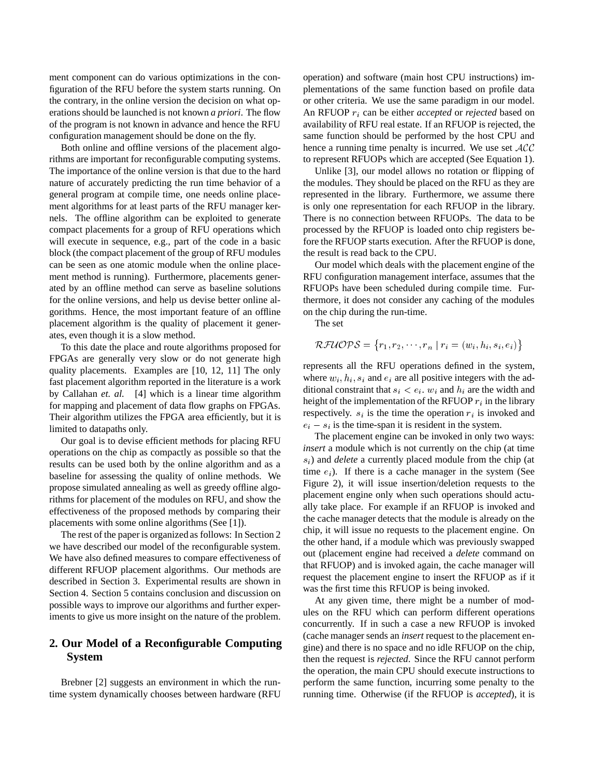ment component can do various optimizations in the configuration of the RFU before the system starts running. On the contrary, in the online version the decision on what operations should be launched is not known *a priori*. The flow of the program is not known in advance and hence the RFU configuration management should be done on the fly.

Both online and offline versions of the placement algorithms are important for reconfigurable computing systems. The importance of the online version is that due to the hard nature of accurately predicting the run time behavior of a general program at compile time, one needs online placement algorithms for at least parts of the RFU manager kernels. The offline algorithm can be exploited to generate compact placements for a group of RFU operations which will execute in sequence, e.g., part of the code in a basic block (the compact placement of the group of RFU modules can be seen as one atomic module when the online placement method is running). Furthermore, placements generated by an offline method can serve as baseline solutions for the online versions, and help us devise better online algorithms. Hence, the most important feature of an offline placement algorithm is the quality of placement it generates, even though it is a slow method.

To this date the place and route algorithms proposed for FPGAs are generally very slow or do not generate high quality placements. Examples are [10, 12, 11] The only fast placement algorithm reported in the literature is a work by Callahan *et. al.* [4] which is a linear time algorithm for mapping and placement of data flow graphs on FPGAs. Their algorithm utilizes the FPGA area efficiently, but it is limited to datapaths only.

Our goal is to devise efficient methods for placing RFU operations on the chip as compactly as possible so that the results can be used both by the online algorithm and as a baseline for assessing the quality of online methods. We propose simulated annealing as well as greedy offline algorithms for placement of the modules on RFU, and show the effectiveness of the proposed methods by comparing their placements with some online algorithms (See [1]).

The rest of the paper is organized as follows: In Section 2 we have described our model of the reconfigurable system. We have also defined measures to compare effectiveness of different RFUOP placement algorithms. Our methods are described in Section 3. Experimental results are shown in Section 4. Section 5 contains conclusion and discussion on possible ways to improve our algorithms and further experiments to give us more insight on the nature of the problem.

# **2. Our Model of a Reconfigurable Computing System**

Brebner [2] suggests an environment in which the runtime system dynamically chooses between hardware (RFU operation) and software (main host CPU instructions) implementations of the same function based on profile data or other criteria. We use the same paradigm in our model. An RFUOP  $r_i$  can be either *accepted* or *rejected* based on availability of RFU real estate. If an RFUOP is rejected, the same function should be performed by the host CPU and hence a running time penalty is incurred. We use set  $ACC$ to represent RFUOPs which are accepted (See Equation 1).

Unlike [3], our model allows no rotation or flipping of the modules. They should be placed on the RFU as they are represented in the library. Furthermore, we assume there is only one representation for each RFUOP in the library. There is no connection between RFUOPs. The data to be processed by the RFUOP is loaded onto chip registers before the RFUOP starts execution. After the RFUOP is done, the result is read back to the CPU.

Our model which deals with the placement engine of the RFU configuration management interface, assumes that the RFUOPs have been scheduled during compile time. Furthermore, it does not consider any caching of the modules on the chip during the run-time.

The set

$$
\mathcal{RFUOPS}=\{r_1,r_2,\cdots,r_n\mid r_i=(w_i,h_i,s_i,e_i)\}
$$

represents all the RFU operations defined in the system, where  $w_i$ ,  $h_i$ ,  $s_i$  and  $e_i$  are all positive integers with the additional constraint that  $s_i < e_i$ ,  $w_i$  and  $h_i$  are the width and height of the implementation of the RFUOP  $r_i$  in the library respectively.  $s_i$  is the time the operation  $r_i$  is invoked and  $e_i - s_i$  is the time-span it is resident in the system.

The placement engine can be invoked in only two ways: *insert* a module which is not currently on the chip (at time s<sub>i</sub>) and *delete* a currently placed module from the chip (at time  $e_i$ ). If there is a cache manager in the system (See Figure 2), it will issue insertion/deletion requests to the placement engine only when such operations should actually take place. For example if an RFUOP is invoked and the cache manager detects that the module is already on the chip, it will issue no requests to the placement engine. On the other hand, if a module which was previously swapped out (placement engine had received a *delete* command on that RFUOP) and is invoked again, the cache manager will request the placement engine to insert the RFUOP as if it was the first time this RFUOP is being invoked.

At any given time, there might be a number of modules on the RFU which can perform different operations concurrently. If in such a case a new RFUOP is invoked (cache manager sends an *insert* request to the placement engine) and there is no space and no idle RFUOP on the chip, then the request is *rejected*. Since the RFU cannot perform the operation, the main CPU should execute instructions to perform the same function, incurring some penalty to the running time. Otherwise (if the RFUOP is *accepted*), it is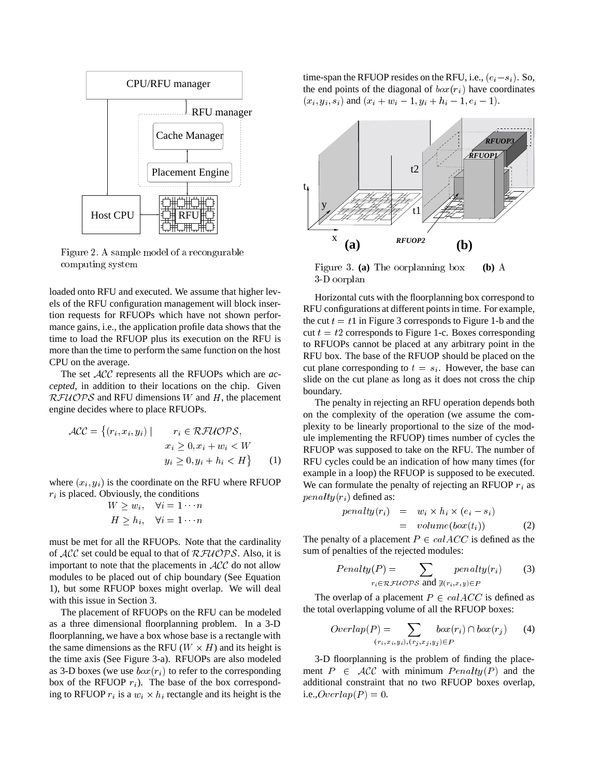

Figure 2. A sample model of a recongurable computing system

loaded onto RFU and executed. We assume that higher levels of the RFU configuration management will block insertion requests for RFUOPs which have not shown performance gains, i.e., the application profile data shows that the time to load the RFUOP plus its execution on the RFU is more than the time to perform the same function on the host CPU on the average.

The set ACC represents all the RFUOPs which are *accepted*, in addition to their locations on the chip. Given  $RFIUOPS$  and RFU dimensions W and H, the placement engine decides where to place RFUOPs.

$$
\mathcal{ACC} = \{ (r_i, x_i, y_i) \mid r_i \in \mathcal{RFUOPS},
$$
  
\n
$$
x_i \geq 0, x_i + w_i < W
$$
  
\n
$$
y_i \geq 0, y_i + h_i < H \} \tag{1}
$$

where  $(x_i, y_i)$  is the coordinate on the RFU where RFUOP  $r_i$  is placed. Obviously, the conditions

$$
W \ge w_i, \quad \forall i = 1 \cdots n
$$
  

$$
H \ge h_i, \quad \forall i = 1 \cdots n
$$

must be met for all the RFUOPs. Note that the cardinality of  $ACC$  set could be equal to that of  $RFUOPS$ . Also, it is important to note that the placements in  $ACC$  do not allow modules to be placed out of chip boundary (See Equation 1), but some RFUOP boxes might overlap. We will deal with this issue in Section 3.

The placement of RFUOPs on the RFU can be modeled as a three dimensional floorplanning problem. In a 3-D floorplanning, we have a box whose base is a rectangle with the same dimensions as the RFU ( $W \times H$ ) and its height is the time axis (See Figure 3-a). RFUOPs are also modeled as 3-D boxes (we use  $box(r_i)$  to refer to the corresponding box of the RFUOP  $r_i$ ). The base of the box corresponding to RFUOP  $r_i$  is a  $w_i \times h_i$  rectangle and its height is the

time-span the RFUOP resides on the RFU, i.e.,  $(e_i - s_i)$ . So, the end points of the diagonal of  $box(r_i)$  have coordinates  $(x_i, y_i, s_i)$  and  $(x_i + w_i - 1, y_i + h_i - 1, e_i - 1)$ .



Figure 3. **(a)** The oorplanning box **(b)** A 3-D oorplan

Horizontal cuts with the floorplanning box correspond to RFU configurations at different points in time. For example, the cut  $t = t1$  in Figure 3 corresponds to Figure 1-b and the cut  $t = t2$  corresponds to Figure 1-c. Boxes corresponding to RFUOPs cannot be placed at any arbitrary point in the RFU box. The base of the RFUOP should be placed on the cut plane corresponding to  $t = s_i$ . However, the base can slide on the cut plane as long as it does not cross the chip boundary.

 $x_i \geq 0, x_i + w_i \leq w$  RFUOP was supposed to take on the RFU. The number of The penalty in rejecting an RFU operation depends both on the complexity of the operation (we assume the complexity to be linearly proportional to the size of the module implementing the RFUOP) times number of cycles the RFU cycles could be an indication of how many times (for example in a loop) the RFUOP is supposed to be executed. We can formulate the penalty of rejecting an RFUOP  $r_i$  as  $penalty(r_i)$  defined as:

$$
penalty(r_i) = w_i \times h_i \times (e_i - s_i)
$$
  
= volume(box(t<sub>i</sub>)) (2)

The penalty of a placement  $P \in calACC$  is defined as the sum of penalties of the rejected modules:

$$
Penalty(P) = \sum_{r_i \in \mathcal{RFU} \cap \mathcal{PS} \text{ and } \exists (r_i, x, y) \in P} penalty(r_i) \tag{3}
$$

The overlap of a placement  $P \in calACC$  is defined as the total overlapping volume of all the RFUOP boxes:

$$
Overlap(P) = \sum_{(r_i, x_i, y_i), (r_j, x_j, y_j) \in P} box(r_i) \cap box(r_j) \tag{4}
$$

3-D floorplanning is the problem of finding the placement  $P \in \mathcal{ACC}$  with minimum  $Penalty(P)$  and the additional constraint that no two RFUOP boxes overlap, i.e., $\text{Overlap}(P) = 0$ .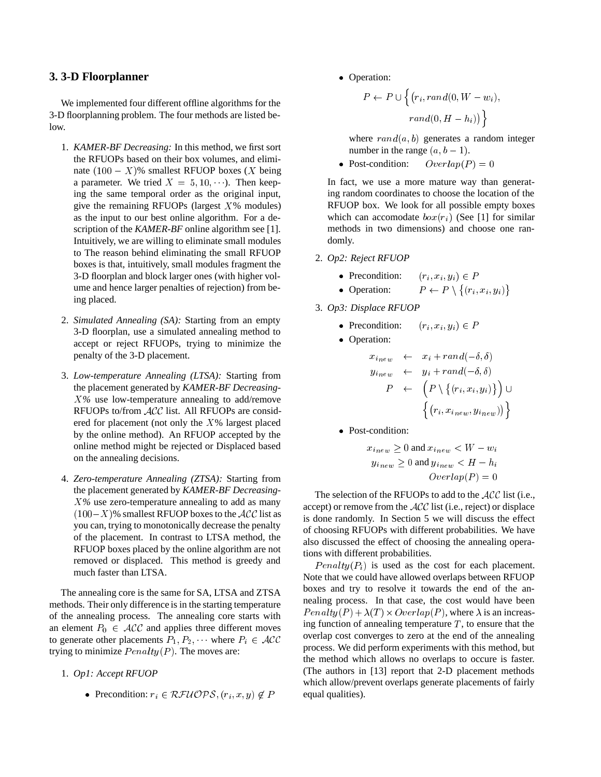#### **3. 3-D Floorplanner**

We implemented four different offline algorithms for the 3-D floorplanning problem. The four methods are listed below.

- 1. *KAMER-BF Decreasing:* In this method, we first sort the RFUOPs based on their box volumes, and eliminate  $(100 - X)\%$  smallest RFUOP boxes (X being a parameter. We tried  $X = 5, 10, \dots$ ). Then keeping the same temporal order as the original input, give the remaining RFUOPs (largest  $X\%$  modules) as the input to our best online algorithm. For a description of the *KAMER-BF* online algorithm see [1]. Intuitively, we are willing to eliminate small modules to The reason behind eliminating the small RFUOP boxes is that, intuitively, small modules fragment the 3-D floorplan and block larger ones (with higher volume and hence larger penalties of rejection) from being placed.
- 2. *Simulated Annealing (SA):* Starting from an empty 3-D floorplan, use a simulated annealing method to accept or reject RFUOPs, trying to minimize the penalty of the 3-D placement.
- 3. *Low-temperature Annealing (LTSA):* Starting from the placement generated by *KAMER-BF Decreasing-*X*%* use low-temperature annealing to add/remove RFUOPs to/from ACC list. All RFUOPs are considered for placement (not only the  $X\%$  largest placed by the online method). An RFUOP accepted by the online method might be rejected or Displaced based on the annealing decisions.
- 4. *Zero-temperature Annealing (ZTSA):* Starting from the placement generated by *KAMER-BF Decreasing-*X*%* use zero-temperature annealing to add as many  $(100-X)$ % smallest RFUOP boxes to the  $ACC$  list as you can, trying to monotonically decrease the penalty of the placement. In contrast to LTSA method, the RFUOP boxes placed by the online algorithm are not removed or displaced. This method is greedy and much faster than LTSA.

The annealing core is the same for SA, LTSA and ZTSA methods. Their only difference is in the starting temperature of the annealing process. The annealing core starts with an element  $P_0 \in \mathcal{ACC}$  and applies three different moves to generate other placements  $P_1, P_2, \dots$  where  $P_i \in \mathcal{ACC}$ trying to minimize  $Penalty(P)$ . The moves are:

- 1. *Op1: Accept RFUOP*
	- Precondition:  $r_i \in \mathcal{RFUOPS}, (r_i, x, y) \notin P$

• Operation:

$$
P \leftarrow P \cup \left\{ (r_i, rand(0, W - w_i),
$$

$$
rand(0, H - h_i)) \right\}
$$

where  $rand(a, b)$  generates a random integer number in the range  $(a, b - 1)$ .

• Post-condition:  $Overlap(P) = 0$ 

In fact, we use a more mature way than generating random coordinates to choose the location of the RFUOP box. We look for all possible empty boxes which can accomodate  $box(r_i)$  (See [1] for similar methods in two dimensions) and choose one randomly.

- 2. *Op2: Reject RFUOP*
	- Precondition:  $(r_i, x_i, y_i) \in P$
	- Operation:  $P \leftarrow P \setminus \{(r_i, x_i, y_i)\}$
- 3. *Op3: Displace RFUOP*
	- Precondition:  $(r_i, x_i, y_i) \in P$
	- Operation:

$$
x_{inew} \leftarrow x_i + rand(-\delta, \delta)
$$
  
\n
$$
y_{inew} \leftarrow y_i + rand(-\delta, \delta)
$$
  
\n
$$
P \leftarrow \left(P \setminus \{(r_i, x_i, y_i)\}\right) \cup \left\{(r_i, x_{inew}, y_{inew})\}\right\}
$$

• Post-condition:

$$
x_{inew} \ge 0 \text{ and } x_{inew} < W - w_i
$$
\n
$$
y_{inew} \ge 0 \text{ and } y_{inew} < H - h_i
$$
\n
$$
Overall(p) = 0
$$

The selection of the RFUOPs to add to the  $ACC$  list (i.e., accept) or remove from the ACC list (i.e., reject) or displace is done randomly. In Section 5 we will discuss the effect of choosing RFUOPs with different probabilities. We have also discussed the effect of choosing the annealing operations with different probabilities.

 $Penalty(P<sub>i</sub>)$  is used as the cost for each placement. Note that we could have allowed overlaps between RFUOP boxes and try to resolve it towards the end of the annealing process. In that case, the cost would have been  $Penalty(P) + \lambda(T) \times Overlap(P)$ , where  $\lambda$  is an increasing function of annealing temperature  $T$ , to ensure that the overlap cost converges to zero at the end of the annealing process. We did perform experiments with this method, but the method which allows no overlaps to occure is faster. (The authors in [13] report that 2-D placement methods which allow/prevent overlaps generate placements of fairly equal qualities).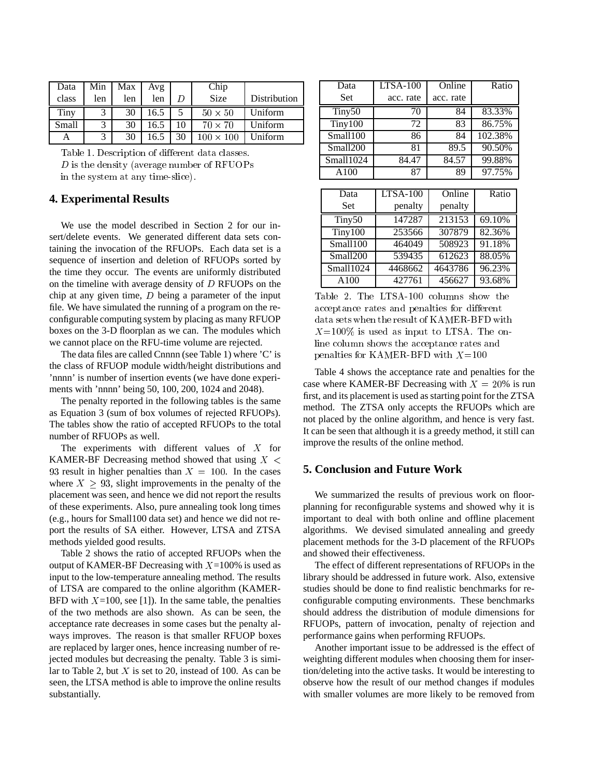| Data  | Min | Max | Avg  |    | Chip             |              |
|-------|-----|-----|------|----|------------------|--------------|
| class | len | len | len  | D  | Size             | Distribution |
| Tiny  |     | 30  | 16.5 |    | $50 \times 50$   | Uniform      |
| Small | 3   | 30  | 16.5 | 10 | $70 \times 70$   | Uniform      |
| А     |     | 30  | 16.5 | 30 | $100 \times 100$ | Uniform      |

Table 1. Description of different data classes. D is the density (average number of RFUOPs in the system at any time-slice).

### **4. Experimental Results**

We use the model described in Section 2 for our insert/delete events. We generated different data sets containing the invocation of the RFUOPs. Each data set is a sequence of insertion and deletion of RFUOPs sorted by the time they occur. The events are uniformly distributed on the timeline with average density of <sup>D</sup> RFUOPs on the chip at any given time,  $D$  being a parameter of the input file. We have simulated the running of a program on the reconfigurable computing system by placing as many RFUOP boxes on the 3-D floorplan as we can. The modules which we cannot place on the RFU-time volume are rejected.

The data files are called Cnnnn (see Table 1) where 'C' is the class of RFUOP module width/height distributions and 'nnnn' is number of insertion events (we have done experiments with 'nnnn' being 50, 100, 200, 1024 and 2048).

The penalty reported in the following tables is the same as Equation 3 (sum of box volumes of rejected RFUOPs). The tables show the ratio of accepted RFUOPs to the total number of RFUOPs as well.

The experiments with different values of  $X$  for KAMER-BF Decreasing method showed that using  $X <$ 93 result in higher penalties than  $X = 100$ . In the cases where  $X \geq 93$ , slight improvements in the penalty of the placement was seen, and hence we did not report the results of these experiments. Also, pure annealing took long times (e.g., hours for Small100 data set) and hence we did not report the results of SA either. However, LTSA and ZTSA methods yielded good results.

Table 2 shows the ratio of accepted RFUOPs when the output of KAMER-BF Decreasing with  $X=100\%$  is used as input to the low-temperature annealing method. The results of LTSA are compared to the online algorithm (KAMER-BFD with  $X=100$ , see [1]). In the same table, the penalties of the two methods are also shown. As can be seen, the acceptance rate decreases in some cases but the penalty always improves. The reason is that smaller RFUOP boxes are replaced by larger ones, hence increasing number of rejected modules but decreasing the penalty. Table 3 is similar to Table 2, but  $X$  is set to 20, instead of 100. As can be seen, the LTSA method is able to improve the online results substantially.

| Data               | LTSA-100        | Online          | Ratio   |
|--------------------|-----------------|-----------------|---------|
| Set                | acc. rate       | acc. rate       |         |
| Tiny <sub>50</sub> | 70              | 84              | 83.33%  |
| Tiny100            | 72              | 83              | 86.75%  |
| Small100           | 86              | 84              | 102.38% |
| Smal1200           | 81              | 89.5            | 90.50%  |
| Small1024          | 84.47           | 84.57           | 99.88%  |
| A100               | 87              | 89              | 97.75%  |
|                    |                 |                 |         |
| Data               | <b>LTSA-100</b> | Online          | Ratio   |
| Set                | penalty         | penalty         |         |
| Tiny <sub>50</sub> | 147287          | 213153          | 69.10%  |
| Tiny100            | 253566          | 307879          | 82.36%  |
| Small100           | 464049          | 508923          | 91.18%  |
| Small200           | 539435          | $\sqrt{612623}$ | 88.05%  |
| Small1024          | 4468662         | 4643786         | 96.23%  |
| A <sub>100</sub>   | 427761          | 456627          | 93.68%  |

Table 2. The LTSA-100 columns show the acceptance rates and penalties for different data sets when the result of KAMER-BFD with  $X=100\%$  is used as input to LTSA. The online column shows the acceptance rates and penalties for KAMER-BFD with  $X=100$ 

Table 4 shows the acceptance rate and penalties for the case where KAMER-BF Decreasing with  $X = 20\%$  is run first, and its placement is used as starting point for the ZTSA method. The ZTSA only accepts the RFUOPs which are not placed by the online algorithm, and hence is very fast. It can be seen that although it is a greedy method, it still can improve the results of the online method.

## **5. Conclusion and Future Work**

We summarized the results of previous work on floorplanning for reconfigurable systems and showed why it is important to deal with both online and offline placement algorithms. We devised simulated annealing and greedy placement methods for the 3-D placement of the RFUOPs and showed their effectiveness.

The effect of different representations of RFUOPs in the library should be addressed in future work. Also, extensive studies should be done to find realistic benchmarks for reconfigurable computing environments. These benchmarks should address the distribution of module dimensions for RFUOPs, pattern of invocation, penalty of rejection and performance gains when performing RFUOPs.

Another important issue to be addressed is the effect of weighting different modules when choosing them for insertion/deleting into the active tasks. It would be interesting to observe how the result of our method changes if modules with smaller volumes are more likely to be removed from